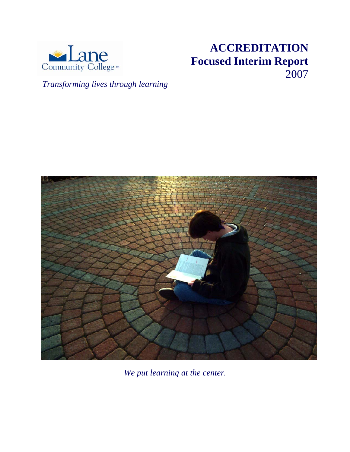

# **ACCREDITATION Focused Interim Report** 2007

*Transforming lives through learning*



*We put learning at the center.*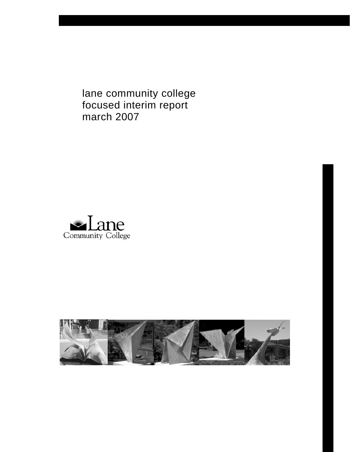lane community college focused interim report march 2007



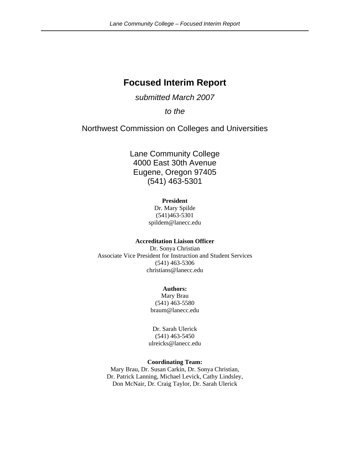# **Focused Interim Report**

### *submitted March 2007*

*to the* 

Northwest Commission on Colleges and Universities

Lane Community College 4000 East 30th Avenue Eugene, Oregon 97405 (541) 463-5301

#### **President**

Dr. Mary Spilde (541)463-5301 spildem@lanecc.edu

#### **Accreditation Liaison Officer**

Dr. Sonya Christian Associate Vice President for Instruction and Student Services (541) 463-5306 christians@lanecc.edu

#### **Authors:**

Mary Brau (541) 463-5580 braum@lanecc.edu

Dr. Sarah Ulerick (541) 463-5450 ulreicks@lanecc.edu

#### **Coordinating Team:**

Mary Brau, Dr. Susan Carkin, Dr. Sonya Christian, Dr. Patrick Lanning, Michael Levick, Cathy Lindsley, Don McNair, Dr. Craig Taylor, Dr. Sarah Ulerick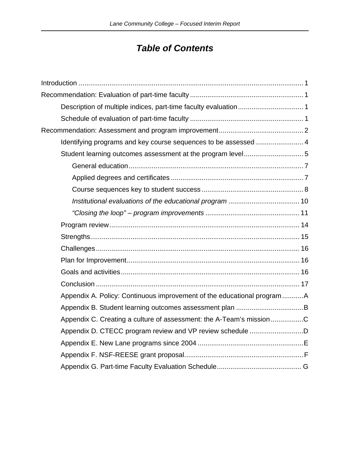# *Table of Contents*

| Identifying programs and key course sequences to be assessed 4         |  |
|------------------------------------------------------------------------|--|
|                                                                        |  |
|                                                                        |  |
|                                                                        |  |
|                                                                        |  |
|                                                                        |  |
|                                                                        |  |
|                                                                        |  |
|                                                                        |  |
|                                                                        |  |
|                                                                        |  |
|                                                                        |  |
|                                                                        |  |
| Appendix A. Policy: Continuous improvement of the educational programA |  |
|                                                                        |  |
| Appendix C. Creating a culture of assessment: the A-Team's missionC    |  |
| Appendix D. CTECC program review and VP review schedule D              |  |
|                                                                        |  |
|                                                                        |  |
|                                                                        |  |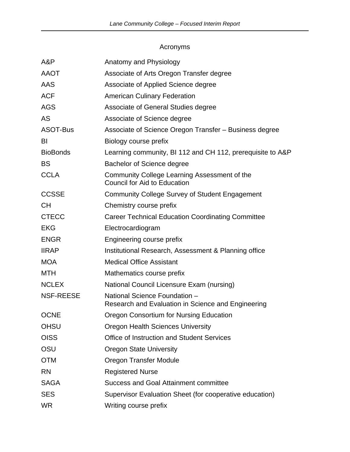### Acronyms

| A&P              | Anatomy and Physiology                                                              |
|------------------|-------------------------------------------------------------------------------------|
| <b>AAOT</b>      | Associate of Arts Oregon Transfer degree                                            |
| AAS              | Associate of Applied Science degree                                                 |
| <b>ACF</b>       | <b>American Culinary Federation</b>                                                 |
| <b>AGS</b>       | Associate of General Studies degree                                                 |
| AS               | Associate of Science degree                                                         |
| ASOT-Bus         | Associate of Science Oregon Transfer - Business degree                              |
| BI               | Biology course prefix                                                               |
| <b>BioBonds</b>  | Learning community, BI 112 and CH 112, prerequisite to A&P                          |
| <b>BS</b>        | <b>Bachelor of Science degree</b>                                                   |
| <b>CCLA</b>      | Community College Learning Assessment of the<br><b>Council for Aid to Education</b> |
| <b>CCSSE</b>     | <b>Community College Survey of Student Engagement</b>                               |
| <b>CH</b>        | Chemistry course prefix                                                             |
| <b>CTECC</b>     | <b>Career Technical Education Coordinating Committee</b>                            |
| <b>EKG</b>       | Electrocardiogram                                                                   |
| <b>ENGR</b>      | Engineering course prefix                                                           |
| <b>IIRAP</b>     | Institutional Research, Assessment & Planning office                                |
| <b>MOA</b>       | <b>Medical Office Assistant</b>                                                     |
| <b>MTH</b>       | Mathematics course prefix                                                           |
| <b>NCLEX</b>     | National Council Licensure Exam (nursing)                                           |
| <b>NSF-REESE</b> | National Science Foundation -<br>Research and Evaluation in Science and Engineering |
| <b>OCNE</b>      | Oregon Consortium for Nursing Education                                             |
| <b>OHSU</b>      | <b>Oregon Health Sciences University</b>                                            |
| <b>OISS</b>      | <b>Office of Instruction and Student Services</b>                                   |
| OSU              | <b>Oregon State University</b>                                                      |
| <b>OTM</b>       | Oregon Transfer Module                                                              |
| <b>RN</b>        | <b>Registered Nurse</b>                                                             |
| <b>SAGA</b>      | <b>Success and Goal Attainment committee</b>                                        |
| <b>SES</b>       | Supervisor Evaluation Sheet (for cooperative education)                             |
| <b>WR</b>        | Writing course prefix                                                               |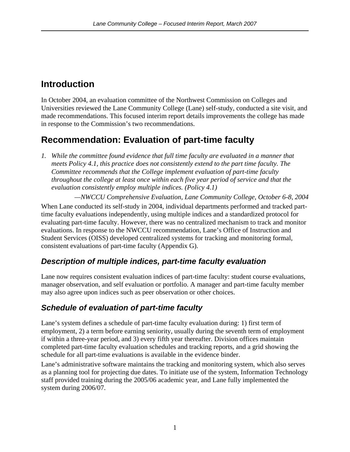# <span id="page-5-0"></span>**Introduction**

In October 2004, an evaluation committee of the Northwest Commission on Colleges and Universities reviewed the Lane Community College (Lane) self-study, conducted a site visit, and made recommendations. This focused interim report details improvements the college has made in response to the Commission's two recommendations.

# **Recommendation: Evaluation of part-time faculty**

*1. While the committee found evidence that full time faculty are evaluated in a manner that meets Policy 4.1, this practice does not consistently extend to the part time faculty. The Committee recommends that the College implement evaluation of part-time faculty throughout the college at least once within each five year period of service and that the evaluation consistently employ multiple indices. (Policy 4.1)* 

*—NWCCU Comprehensive Evaluation, Lane Community College, October 6-8, 2004* 

When Lane conducted its self-study in 2004, individual departments performed and tracked parttime faculty evaluations independently, using multiple indices and a standardized protocol for evaluating part-time faculty. However, there was no centralized mechanism to track and monitor evaluations. In response to the NWCCU recommendation, Lane's Office of Instruction and Student Services (OISS) developed centralized systems for tracking and monitoring formal, consistent evaluations of part-time faculty (Appendix G).

## *Description of multiple indices, part-time faculty evaluation*

Lane now requires consistent evaluation indices of part-time faculty: student course evaluations, manager observation, and self evaluation or portfolio. A manager and part-time faculty member may also agree upon indices such as peer observation or other choices.

## *Schedule of evaluation of part-time faculty*

Lane's system defines a schedule of part-time faculty evaluation during: 1) first term of employment, 2) a term before earning seniority, usually during the seventh term of employment if within a three-year period, and 3) every fifth year thereafter. Division offices maintain completed part-time faculty evaluation schedules and tracking reports, and a grid showing the schedule for all part-time evaluations is available in the evidence binder.

Lane's administrative software maintains the tracking and monitoring system, which also serves as a planning tool for projecting due dates. To initiate use of the system, Information Technology staff provided training during the 2005/06 academic year, and Lane fully implemented the system during 2006/07.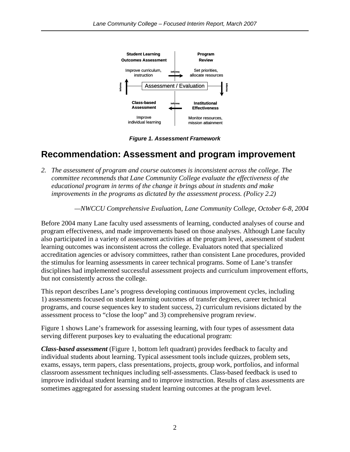<span id="page-6-0"></span>

*Figure 1. Assessment Framework* 

# **Recommendation: Assessment and program improvement**

*2. The assessment of program and course outcomes is inconsistent across the college. The committee recommends that Lane Community College evaluate the effectiveness of the educational program in terms of the change it brings about in students and make improvements in the programs as dictated by the assessment process. (Policy 2.2)* 

*—NWCCU Comprehensive Evaluation, Lane Community College, October 6-8, 2004* 

Before 2004 many Lane faculty used assessments of learning, conducted analyses of course and program effectiveness, and made improvements based on those analyses. Although Lane faculty also participated in a variety of assessment activities at the program level, assessment of student learning outcomes was inconsistent across the college. Evaluators noted that specialized accreditation agencies or advisory committees, rather than consistent Lane procedures, provided the stimulus for learning assessments in career technical programs. Some of Lane's transfer disciplines had implemented successful assessment projects and curriculum improvement efforts, but not consistently across the college.

This report describes Lane's progress developing continuous improvement cycles, including 1) assessments focused on student learning outcomes of transfer degrees, career technical programs, and course sequences key to student success, 2) curriculum revisions dictated by the assessment process to "close the loop" and 3) comprehensive program review.

Figure 1 shows Lane's framework for assessing learning, with four types of assessment data serving different purposes key to evaluating the educational program:

*Class-based assessment* (Figure 1, bottom left quadrant) provides feedback to faculty and individual students about learning. Typical assessment tools include quizzes, problem sets, exams, essays, term papers, class presentations, projects, group work, portfolios, and informal classroom assessment techniques including self-assessments. Class-based feedback is used to improve individual student learning and to improve instruction. Results of class assessments are sometimes aggregated for assessing student learning outcomes at the program level.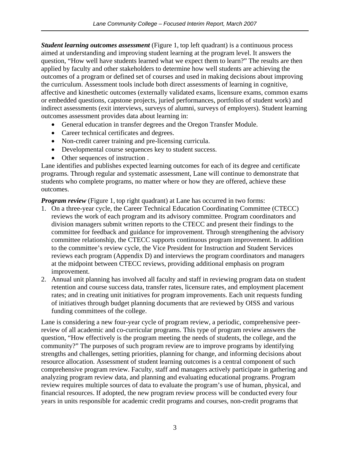*Student learning outcomes assessment* (Figure 1, top left quadrant) is a continuous process aimed at understanding and improving student learning at the program level. It answers the question, "How well have students learned what we expect them to learn?" The results are then applied by faculty and other stakeholders to determine how well students are achieving the outcomes of a program or defined set of courses and used in making decisions about improving the curriculum. Assessment tools include both direct assessments of learning in cognitive, affective and kinesthetic outcomes (externally validated exams, licensure exams, common exams or embedded questions, capstone projects, juried performances, portfolios of student work) and indirect assessments (exit interviews, surveys of alumni, surveys of employers). Student learning outcomes assessment provides data about learning in:

- General education in transfer degrees and the Oregon Transfer Module.
- Career technical certificates and degrees.
- Non-credit career training and pre-licensing curricula.
- Developmental course sequences key to student success.
- Other sequences of instruction .

Lane identifies and publishes expected learning outcomes for each of its degree and certificate programs. Through regular and systematic assessment, Lane will continue to demonstrate that students who complete programs, no matter where or how they are offered, achieve these outcomes.

*Program review* (Figure 1, top right quadrant) at Lane has occurred in two forms:

- 1. On a three-year cycle, the Career Technical Education Coordinating Committee (CTECC) reviews the work of each program and its advisory committee. Program coordinators and division managers submit written reports to the CTECC and present their findings to the committee for feedback and guidance for improvement. Through strengthening the advisory committee relationship, the CTECC supports continuous program improvement. In addition to the committee's review cycle, the Vice President for Instruction and Student Services reviews each program (Appendix D) and interviews the program coordinators and managers at the midpoint between CTECC reviews, providing additional emphasis on program improvement.
- 2. Annual unit planning has involved all faculty and staff in reviewing program data on student retention and course success data, transfer rates, licensure rates, and employment placement rates; and in creating unit initiatives for program improvements. Each unit requests funding of initiatives through budget planning documents that are reviewed by OISS and various funding committees of the college.

Lane is considering a new four-year cycle of program review, a periodic, comprehensive peerreview of all academic and co-curricular programs. This type of program review answers the question, "How effectively is the program meeting the needs of students, the college, and the community?" The purposes of such program review are to improve programs by identifying strengths and challenges, setting priorities, planning for change, and informing decisions about resource allocation. Assessment of student learning outcomes is a central component of such comprehensive program review. Faculty, staff and managers actively participate in gathering and analyzing program review data, and planning and evaluating educational programs. Program review requires multiple sources of data to evaluate the program's use of human, physical, and financial resources. If adopted, the new program review process will be conducted every four years in units responsible for academic credit programs and courses, non-credit programs that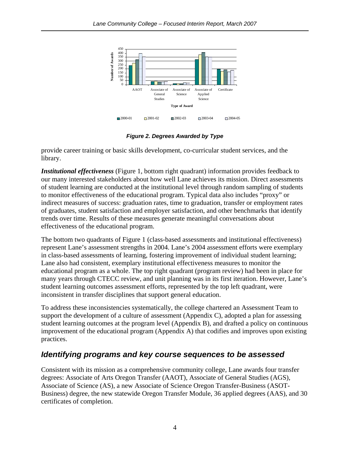<span id="page-8-0"></span>

*Figure 2. Degrees Awarded by Type* 

provide career training or basic skills development, co-curricular student services, and the library.

*Institutional effectiveness* (Figure 1, bottom right quadrant) information provides feedback to our many interested stakeholders about how well Lane achieves its mission. Direct assessments of student learning are conducted at the institutional level through random sampling of students to monitor effectiveness of the educational program. Typical data also includes "proxy" or indirect measures of success: graduation rates, time to graduation, transfer or employment rates of graduates, student satisfaction and employer satisfaction, and other benchmarks that identify trends over time. Results of these measures generate meaningful conversations about effectiveness of the educational program.

The bottom two quadrants of Figure 1 (class-based assessments and institutional effectiveness) represent Lane's assessment strengths in 2004. Lane's 2004 assessment efforts were exemplary in class-based assessments of learning, fostering improvement of individual student learning; Lane also had consistent, exemplary institutional effectiveness measures to monitor the educational program as a whole. The top right quadrant (program review) had been in place for many years through CTECC review, and unit planning was in its first iteration. However, Lane's student learning outcomes assessment efforts, represented by the top left quadrant, were inconsistent in transfer disciplines that support general education.

To address these inconsistencies systematically, the college chartered an Assessment Team to support the development of a culture of assessment (Appendix C), adopted a plan for assessing student learning outcomes at the program level (Appendix B), and drafted a policy on continuous improvement of the educational program (Appendix A) that codifies and improves upon existing practices.

## *Identifying programs and key course sequences to be assessed*

Consistent with its mission as a comprehensive community college, Lane awards four transfer degrees: Associate of Arts Oregon Transfer (AAOT), Associate of General Studies (AGS), Associate of Science (AS), a new Associate of Science Oregon Transfer-Business (ASOT-Business) degree, the new statewide Oregon Transfer Module, 36 applied degrees (AAS), and 30 certificates of completion.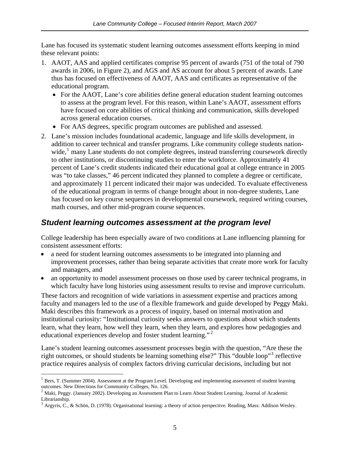<span id="page-9-0"></span>Lane has focused its systematic student learning outcomes assessment efforts keeping in mind these relevant points:

- 1. AAOT, AAS and applied certificates comprise 95 percent of awards (751 of the total of 790 awards in 2006, in Figure 2), and AGS and AS account for about 5 percent of awards. Lane thus has focused on effectiveness of AAOT, AAS and certificates as representative of the educational program.
	- For the AAOT, Lane's core abilities define general education student learning outcomes to assess at the program level. For this reason, within Lane's AAOT, assessment efforts have focused on core abilities of critical thinking and communication, skills developed across general education courses.
	- For AAS degrees, specific program outcomes are published and assessed.
- 2. Lane's mission includes foundational academic, language and life skills development, in addition to career technical and transfer programs. Like community college students nation-wide,<sup>[1](#page-9-1)</sup> many Lane students do not complete degrees, instead transferring coursework directly to other institutions, or discontinuing studies to enter the workforce. Approximately 41 percent of Lane's credit students indicated their educational goal at college entrance in 2005 was "to take classes," 46 percent indicated they planned to complete a degree or certificate, and approximately 11 percent indicated their major was undecided. To evaluate effectiveness of the educational program in terms of change brought about in non-degree students, Lane has focused on key course sequences in developmental coursework, required writing courses, math courses, and other mid-program course sequences.

### *Student learning outcomes assessment at the program level*

College leadership has been especially aware of two conditions at Lane influencing planning for consistent assessment efforts:

- a need for student learning outcomes assessments to be integrated into planning and improvement processes, rather than being separate activities that create more work for faculty and managers, and
- an opportunity to model assessment processes on those used by career technical programs, in which faculty have long histories using assessment results to revise and improve curriculum.

These factors and recognition of wide variations in assessment expertise and practices among faculty and managers led to the use of a flexible framework and guide developed by Peggy Maki. Maki describes this framework as a process of inquiry, based on internal motivation and institutional curiosity: "Institutional curiosity seeks answers to questions about which students learn, what they learn, how well they learn, when they learn, and explores how pedagogies and educational experiences develop and foster student learning."<sup>[2](#page-9-2)</sup>

Lane's student learning outcomes assessment processes begin with the question, "Are these the right outcomes, or should students be learning something else?" This "double loop"<sup>[3](#page-9-3)</sup> reflective practice requires analysis of complex factors driving curricular decisions, including but not

1

<sup>&</sup>lt;sup>1</sup> Bers, T. (Summer 2004). Assessment at the Program Level. Developing and implementing assessment of student learning outcomes. New Directions for Community Colleges, No. 126.

<sup>&</sup>lt;sup>2</sup> Maki, Peggy. (January 2002). Developing an Assessment Plan to Learn About Student Learning. Journal of Academic Librarianship.

<span id="page-9-3"></span><span id="page-9-2"></span><span id="page-9-1"></span> $3$  Argyris, C., & Schön, D. (1978). Organisational learning: a theory of action perspective. Reading, Mass: Addison Wesley.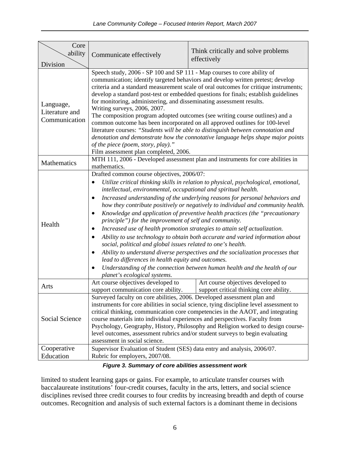| Core<br>ability                              | Communicate effectively                                                                                                                                                                                                                                                                                                                                                                                                                                                                                                                                                                                                                                                                                                                                                                                                                                                                                                                                                                                                                                                    | Think critically and solve problems<br>effectively                            |  |  |  |  |  |  |
|----------------------------------------------|----------------------------------------------------------------------------------------------------------------------------------------------------------------------------------------------------------------------------------------------------------------------------------------------------------------------------------------------------------------------------------------------------------------------------------------------------------------------------------------------------------------------------------------------------------------------------------------------------------------------------------------------------------------------------------------------------------------------------------------------------------------------------------------------------------------------------------------------------------------------------------------------------------------------------------------------------------------------------------------------------------------------------------------------------------------------------|-------------------------------------------------------------------------------|--|--|--|--|--|--|
| Division                                     |                                                                                                                                                                                                                                                                                                                                                                                                                                                                                                                                                                                                                                                                                                                                                                                                                                                                                                                                                                                                                                                                            |                                                                               |  |  |  |  |  |  |
| Language,<br>Literature and<br>Communication | Speech study, 2006 - SP 100 and SP 111 - Map courses to core ability of<br>communication; identify targeted behaviors and develop written pretest; develop<br>criteria and a standard measurement scale of oral outcomes for critique instruments;<br>develop a standard post-test or embedded questions for finals; establish guidelines<br>for monitoring, administering, and disseminating assessment results.<br>Writing surveys, 2006, 2007.<br>The composition program adopted outcomes (see writing course outlines) and a<br>common outcome has been incorporated on all approved outlines for 100-level<br>literature courses: "Students will be able to distinguish between connotation and<br>denotation and demonstrate how the connotative language helps shape major points<br>of the piece (poem, story, play)."<br>Film assessment plan completed, 2006.                                                                                                                                                                                                   |                                                                               |  |  |  |  |  |  |
| <b>Mathematics</b>                           | MTH 111, 2006 - Developed assessment plan and instruments for core abilities in<br>mathematics.                                                                                                                                                                                                                                                                                                                                                                                                                                                                                                                                                                                                                                                                                                                                                                                                                                                                                                                                                                            |                                                                               |  |  |  |  |  |  |
| Health                                       | Drafted common course objectives, 2006/07:<br>Utilize critical thinking skills in relation to physical, psychological, emotional,<br>intellectual, environmental, occupational and spiritual health.<br>Increased understanding of the underlying reasons for personal behaviors and<br>$\bullet$<br>how they contribute positively or negatively to individual and community health.<br>Knowledge and application of preventive health practices (the "precautionary<br>$\bullet$<br>principle") for the improvement of self and community.<br>Increased use of health promotion strategies to attain self actualization.<br>$\bullet$<br>Ability to use technology to obtain both accurate and varied information about<br>$\bullet$<br>social, political and global issues related to one's health.<br>Ability to understand diverse perspectives and the socialization processes that<br>lead to differences in health equity and outcomes.<br>Understanding of the connection between human health and the health of our<br>$\bullet$<br>planet's ecological systems. |                                                                               |  |  |  |  |  |  |
| Arts                                         | Art course objectives developed to<br>support communication core ability.                                                                                                                                                                                                                                                                                                                                                                                                                                                                                                                                                                                                                                                                                                                                                                                                                                                                                                                                                                                                  | Art course objectives developed to<br>support critical thinking core ability. |  |  |  |  |  |  |
| <b>Social Science</b>                        | Surveyed faculty on core abilities, 2006. Developed assessment plan and<br>instruments for core abilities in social science, tying discipline level assessment to<br>critical thinking, communication core competencies in the AAOT, and integrating<br>course materials into individual experiences and perspectives. Faculty from<br>Psychology, Geography, History, Philosophy and Religion worked to design course-<br>level outcomes, assessment rubrics and/or student surveys to begin evaluating<br>assessment in social science.                                                                                                                                                                                                                                                                                                                                                                                                                                                                                                                                  |                                                                               |  |  |  |  |  |  |
| Cooperative                                  | Supervisor Evaluation of Student (SES) data entry and analysis, 2006/07.                                                                                                                                                                                                                                                                                                                                                                                                                                                                                                                                                                                                                                                                                                                                                                                                                                                                                                                                                                                                   |                                                                               |  |  |  |  |  |  |
| Education                                    | Rubric for employers, 2007/08.                                                                                                                                                                                                                                                                                                                                                                                                                                                                                                                                                                                                                                                                                                                                                                                                                                                                                                                                                                                                                                             |                                                                               |  |  |  |  |  |  |

### *Figure 3. Summary of core abilities assessment work*

limited to student learning gaps or gains. For example, to articulate transfer courses with baccalaureate institutions' four-credit courses, faculty in the arts, letters, and social science disciplines revised three credit courses to four credits by increasing breadth and depth of course outcomes. Recognition and analysis of such external factors is a dominant theme in decisions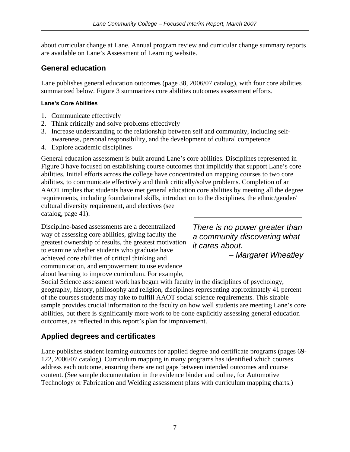<span id="page-11-0"></span>about curricular change at Lane. Annual program review and curricular change summary reports are available on Lane's Assessment of Learning website.

### **General education**

Lane publishes general education outcomes (page 38, 2006/07 catalog), with four core abilities summarized below. Figure 3 summarizes core abilities outcomes assessment efforts.

### **Lane's Core Abilities**

- 1. Communicate effectively
- 2. Think critically and solve problems effectively
- 3. Increase understanding of the relationship between self and community, including selfawareness, personal responsibility, and the development of cultural competence
- 4. Explore academic disciplines

General education assessment is built around Lane's core abilities. Disciplines represented in Figure 3 have focused on establishing course outcomes that implicitly that support Lane's core abilities. Initial efforts across the college have concentrated on mapping courses to two core abilities, to communicate effectively and think critically/solve problems. Completion of an AAOT implies that students have met general education core abilities by meeting all the degree requirements, including foundational skills, introduction to the disciplines, the ethnic/gender/ cultural diversity requirement, and electives (see catalog, page 41).

Discipline-based assessments are a decentralized way of assessing core abilities, giving faculty the greatest ownership of results, the greatest motivation to examine whether students who graduate have achieved core abilities of critical thinking and communication, and empowerment to use evidence about learning to improve curriculum. For example,

*There is no power greater than a community discovering what it cares about.* 

*– Margaret Wheatley*

Social Science assessment work has begun with faculty in the disciplines of psychology, geography, history, philosophy and religion, disciplines representing approximately 41 percent of the courses students may take to fulfill AAOT social science requirements. This sizable sample provides crucial information to the faculty on how well students are meeting Lane's core abilities, but there is significantly more work to be done explicitly assessing general education outcomes, as reflected in this report's plan for improvement.

## **Applied degrees and certificates**

Lane publishes student learning outcomes for applied degree and certificate programs (pages 69- 122, 2006/07 catalog). Curriculum mapping in many programs has identified which courses address each outcome, ensuring there are not gaps between intended outcomes and course content. (See sample documentation in the evidence binder and online, for Automotive Technology or Fabrication and Welding assessment plans with curriculum mapping charts.)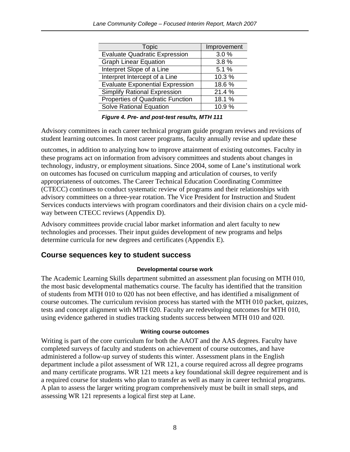<span id="page-12-0"></span>

| <b>Topic</b>                           | Improvement |
|----------------------------------------|-------------|
| <b>Evaluate Quadratic Expression</b>   | 3.0%        |
| <b>Graph Linear Equation</b>           | 3.8%        |
| Interpret Slope of a Line              | 5.1%        |
| Interpret Intercept of a Line          | 10.3%       |
| <b>Evaluate Exponential Expression</b> | 18.6%       |
| <b>Simplify Rational Expression</b>    | 21.4 %      |
| Properties of Quadratic Function       | 18.1 %      |
| <b>Solve Rational Equation</b>         | 10.9%       |

*Figure 4. Pre- and post-test results, MTH 111* 

Advisory committees in each career technical program guide program reviews and revisions of student learning outcomes. In most career programs, faculty annually revise and update these

outcomes, in addition to analyzing how to improve attainment of existing outcomes. Faculty in these programs act on information from advisory committees and students about changes in technology, industry, or employment situations. Since 2004, some of Lane's institutional work on outcomes has focused on curriculum mapping and articulation of courses, to verify appropriateness of outcomes. The Career Technical Education Coordinating Committee (CTECC) continues to conduct systematic review of programs and their relationships with advisory committees on a three-year rotation. The Vice President for Instruction and Student Services conducts interviews with program coordinators and their division chairs on a cycle midway between CTECC reviews (Appendix D).

Advisory committees provide crucial labor market information and alert faculty to new technologies and processes. Their input guides development of new programs and helps determine curricula for new degrees and certificates (Appendix E).

### **Course sequences key to student success**

#### **Developmental course work**

The Academic Learning Skills department submitted an assessment plan focusing on MTH 010, the most basic developmental mathematics course. The faculty has identified that the transition of students from MTH 010 to 020 has not been effective, and has identified a misalignment of course outcomes. The curriculum revision process has started with the MTH 010 packet, quizzes, tests and concept alignment with MTH 020. Faculty are redeveloping outcomes for MTH 010, using evidence gathered in studies tracking students success between MTH 010 and 020.

#### **Writing course outcomes**

Writing is part of the core curriculum for both the AAOT and the AAS degrees. Faculty have completed surveys of faculty and students on achievement of course outcomes, and have administered a follow-up survey of students this winter. Assessment plans in the English department include a pilot assessment of WR 121, a course required across all degree programs and many certificate programs. WR 121 meets a key foundational skill degree requirement and is a required course for students who plan to transfer as well as many in career technical programs. A plan to assess the larger writing program comprehensively must be built in small steps, and assessing WR 121 represents a logical first step at Lane.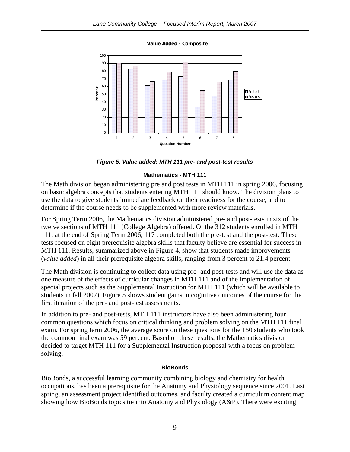**Value Added - Composite**



*Figure 5. Value added: MTH 111 pre- and post-test results* 

#### **Mathematics - MTH 111**

The Math division began administering pre and post tests in MTH 111 in spring 2006, focusing on basic algebra concepts that students entering MTH 111 should know. The division plans to use the data to give students immediate feedback on their readiness for the course, and to determine if the course needs to be supplemented with more review materials.

For Spring Term 2006, the Mathematics division administered pre- and post-tests in six of the twelve sections of MTH 111 (College Algebra) offered. Of the 312 students enrolled in MTH 111, at the end of Spring Term 2006, 117 completed both the pre-test and the post-test. These tests focused on eight prerequisite algebra skills that faculty believe are essential for success in MTH 111. Results, summarized above in Figure 4, show that students made improvements (*value added*) in all their prerequisite algebra skills, ranging from 3 percent to 21.4 percent.

The Math division is continuing to collect data using pre- and post-tests and will use the data as one measure of the effects of curricular changes in MTH 111 and of the implementation of special projects such as the Supplemental Instruction for MTH 111 (which will be available to students in fall 2007). Figure 5 shows student gains in cognitive outcomes of the course for the first iteration of the pre- and post-test assessments.

In addition to pre- and post-tests, MTH 111 instructors have also been administering four common questions which focus on critical thinking and problem solving on the MTH 111 final exam. For spring term 2006, the average score on these questions for the 150 students who took the common final exam was 59 percent. Based on these results, the Mathematics division decided to target MTH 111 for a Supplemental Instruction proposal with a focus on problem solving.

#### **BioBonds**

BioBonds, a successful learning community combining biology and chemistry for health occupations, has been a prerequisite for the Anatomy and Physiology sequence since 2001. Last spring, an assessment project identified outcomes, and faculty created a curriculum content map showing how BioBonds topics tie into Anatomy and Physiology (A&P). There were exciting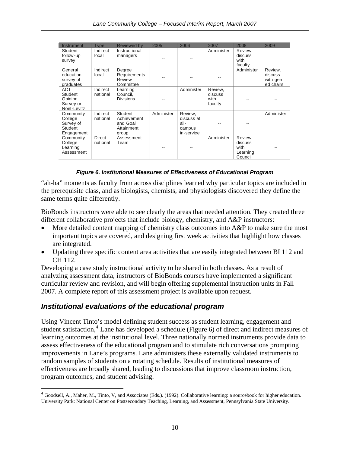<span id="page-14-0"></span>

| Instrument                                                        | <b>Type</b>          | <b>Reviewed by</b>                                        | 2005       | 2006                                                  | 2007                                  | 2008                                              | 2009                                        |
|-------------------------------------------------------------------|----------------------|-----------------------------------------------------------|------------|-------------------------------------------------------|---------------------------------------|---------------------------------------------------|---------------------------------------------|
| Student<br>follow-up<br>survey                                    | Indirect<br>local    | Instructional<br>managers                                 |            |                                                       | Administer                            | Review,<br>discuss<br>with<br>faculty             |                                             |
| General<br>education<br>survey of<br>graduates                    | Indirect<br>local    | Degree<br>Requirements<br><b>Review</b><br>Committee      |            |                                                       |                                       | Administer                                        | Review.<br>discuss<br>with gen<br>ed chairs |
| <b>ACT</b><br>Student<br>Opinion<br>Survey or<br>Noel-Levitz      | Indirect<br>national | Learning<br>Council,<br><b>Divisions</b>                  |            | Administer                                            | Review.<br>discuss<br>with<br>faculty |                                                   |                                             |
| Community<br>College<br>Survey of<br>Student<br><b>Engagement</b> | Indirect<br>national | Student<br>Achievement<br>and Goal<br>Attainment<br>group | Administer | Review,<br>discuss at<br>all-<br>campus<br>in-service |                                       |                                                   | Administer                                  |
| Community<br>College<br>Learning<br>Assessment                    | Direct<br>national   | Assessment<br>Team                                        |            |                                                       | Administer                            | Review,<br>discuss<br>with<br>Learning<br>Council |                                             |

#### *Figure 6. Institutional Measures of Effectiveness of Educational Program*

"ah-ha" moments as faculty from across disciplines learned why particular topics are included in the prerequisite class, and as biologists, chemists, and physiologists discovered they define the same terms quite differently.

BioBonds instructors were able to see clearly the areas that needed attention. They created three different collaborative projects that include biology, chemistry, and A&P instructors:

- More detailed content mapping of chemistry class outcomes into A&P to make sure the most important topics are covered, and designing first week activities that highlight how classes are integrated.
- Updating three specific content area activities that are easily integrated between BI 112 and CH 112.

Developing a case study instructional activity to be shared in both classes. As a result of analyzing assessment data, instructors of BioBonds courses have implemented a significant curricular review and revision, and will begin offering supplemental instruction units in Fall 2007. A complete report of this assessment project is available upon request.

### *Institutional evaluations of the educational program*

1

Using Vincent Tinto's model defining student success as student learning, engagement and student satisfaction,<sup>[4](#page-14-0)</sup> Lane has developed a schedule (Figure 6) of direct and indirect measures of learning outcomes at the institutional level. Three nationally normed instruments provide data to assess effectiveness of the educational program and to stimulate rich conversations prompting improvements in Lane's programs. Lane administers these externally validated instruments to random samples of students on a rotating schedule. Results of institutional measures of effectiveness are broadly shared, leading to discussions that improve classroom instruction, program outcomes, and student advising.

 $4$  Goodsell, A., Maher, M., Tinto, V, and Associates (Eds.). (1992). Collaborative learning: a sourcebook for higher education. University Park: National Center on Postsecondary Teaching, Learning, and Assessment, Pennsylvania State University.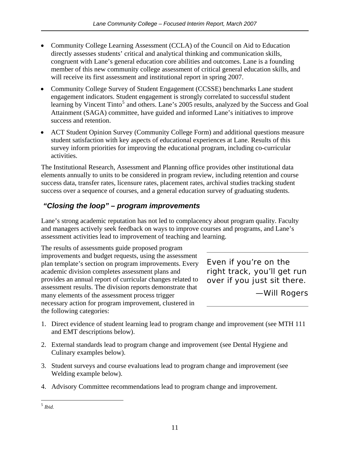- <span id="page-15-0"></span>• Community College Learning Assessment (CCLA) of the Council on Aid to Education directly assesses students' critical and analytical thinking and communication skills, congruent with Lane's general education core abilities and outcomes. Lane is a founding member of this new community college assessment of critical general education skills, and will receive its first assessment and institutional report in spring 2007.
- Community College Survey of Student Engagement (CCSSE) benchmarks Lane student engagement indicators. Student engagement is strongly correlated to successful student learning by Vincent Tinto<sup>[5](#page-15-0)</sup> and others. Lane's 2005 results, analyzed by the Success and Goal Attainment (SAGA) committee, have guided and informed Lane's initiatives to improve success and retention.
- ACT Student Opinion Survey (Community College Form) and additional questions measure student satisfaction with key aspects of educational experiences at Lane. Results of this survey inform priorities for improving the educational program, including co-curricular activities.

The Institutional Research, Assessment and Planning office provides other institutional data elements annually to units to be considered in program review, including retention and course success data, transfer rates, licensure rates, placement rates, archival studies tracking student success over a sequence of courses, and a general education survey of graduating students.

## *"Closing the loop" – program improvements*

Lane's strong academic reputation has not led to complacency about program quality. Faculty and managers actively seek feedback on ways to improve courses and programs, and Lane's assessment activities lead to improvement of teaching and learning.

The results of assessments guide proposed program improvements and budget requests, using the assessment plan template's section on program improvements. Every academic division completes assessment plans and provides an annual report of curricular changes related to assessment results. The division reports demonstrate that many elements of the assessment process trigger necessary action for program improvement, clustered in the following categories:

*Even if you're on the right track, you'll get run over if you just sit there.*

*—Will Rogers*

- 1. Direct evidence of student learning lead to program change and improvement (see MTH 111 and EMT descriptions below).
- 2. External standards lead to program change and improvement (see Dental Hygiene and Culinary examples below).
- 3. Student surveys and course evaluations lead to program change and improvement (see Welding example below).
- 4. Advisory Committee recommendations lead to program change and improvement.

 $\overline{a}$ <sup>5</sup> *Ibid.*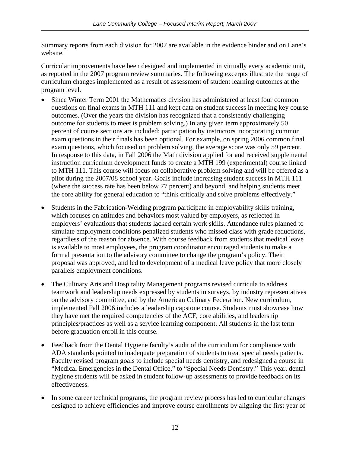Summary reports from each division for 2007 are available in the evidence binder and on Lane's website.

Curricular improvements have been designed and implemented in virtually every academic unit, as reported in the 2007 program review summaries. The following excerpts illustrate the range of curriculum changes implemented as a result of assessment of student learning outcomes at the program level.

- Since Winter Term 2001 the Mathematics division has administered at least four common questions on final exams in MTH 111 and kept data on student success in meeting key course outcomes. (Over the years the division has recognized that a consistently challenging outcome for students to meet is problem solving.) In any given term approximately 50 percent of course sections are included; participation by instructors incorporating common exam questions in their finals has been optional. For example, on spring 2006 common final exam questions, which focused on problem solving, the average score was only 59 percent. In response to this data, in Fall 2006 the Math division applied for and received supplemental instruction curriculum development funds to create a MTH 199 (experimental) course linked to MTH 111. This course will focus on collaborative problem solving and will be offered as a pilot during the 2007/08 school year. Goals include increasing student success in MTH 111 (where the success rate has been below 77 percent) and beyond, and helping students meet the core ability for general education to "think critically and solve problems effectively."
- Students in the Fabrication-Welding program participate in employability skills training, which focuses on attitudes and behaviors most valued by employers, as reflected in employers' evaluations that students lacked certain work skills. Attendance rules planned to simulate employment conditions penalized students who missed class with grade reductions, regardless of the reason for absence. With course feedback from students that medical leave is available to most employees, the program coordinator encouraged students to make a formal presentation to the advisory committee to change the program's policy. Their proposal was approved, and led to development of a medical leave policy that more closely parallels employment conditions.
- The Culinary Arts and Hospitality Management programs revised curricula to address teamwork and leadership needs expressed by students in surveys, by industry representatives on the advisory committee, and by the American Culinary Federation. New curriculum, implemented Fall 2006 includes a leadership capstone course. Students must showcase how they have met the required competencies of the ACF, core abilities, and leadership principles/practices as well as a service learning component. All students in the last term before graduation enroll in this course.
- Feedback from the Dental Hygiene faculty's audit of the curriculum for compliance with ADA standards pointed to inadequate preparation of students to treat special needs patients. Faculty revised program goals to include special needs dentistry, and redesigned a course in "Medical Emergencies in the Dental Office," to "Special Needs Dentistry." This year, dental hygiene students will be asked in student follow-up assessments to provide feedback on its effectiveness.
- In some career technical programs, the program review process has led to curricular changes designed to achieve efficiencies and improve course enrollments by aligning the first year of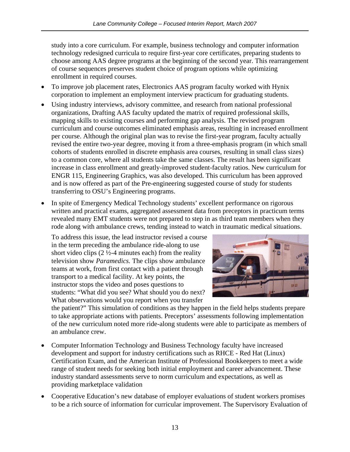study into a core curriculum. For example, business technology and computer information technology redesigned curricula to require first-year core certificates, preparing students to choose among AAS degree programs at the beginning of the second year. This rearrangement of course sequences preserves student choice of program options while optimizing enrollment in required courses.

- To improve job placement rates, Electronics AAS program faculty worked with Hynix corporation to implement an employment interview practicum for graduating students.
- Using industry interviews, advisory committee, and research from national professional organizations, Drafting AAS faculty updated the matrix of required professional skills, mapping skills to existing courses and performing gap analysis. The revised program curriculum and course outcomes eliminated emphasis areas, resulting in increased enrollment per course. Although the original plan was to revise the first-year program, faculty actually revised the entire two-year degree, moving it from a three-emphasis program (in which small cohorts of students enrolled in discrete emphasis area courses, resulting in small class sizes) to a common core, where all students take the same classes. The result has been significant increase in class enrollment and greatly-improved student-faculty ratios. New curriculum for ENGR 115, Engineering Graphics, was also developed. This curriculum has been approved and is now offered as part of the Pre-engineering suggested course of study for students transferring to OSU's Engineering programs.
- In spite of Emergency Medical Technology students' excellent performance on rigorous written and practical exams, aggregated assessment data from preceptors in practicum terms revealed many EMT students were not prepared to step in as third team members when they rode along with ambulance crews, tending instead to watch in traumatic medical situations.

To address this issue, the lead instructor revised a c ourse in the term preceding the ambulance ride-along to use short video clips (2 ½-4 minutes each) from the reality television show *Paramedics*. The clips show ambulance teams at work, from first contact with a patient throu gh transport to a medical facility. At key points, the instructor stops the video and poses questions to students: "What did you see? What should you do next? What observations would you report when you transfer



the patient?" This simulation of conditions as they happen in the field helps students prep are to take appropriate actions with patients. Preceptors' assessments following implementation of the new curriculum noted more ride-along students were able to participate as me mbers of an ambulance crew.

- Computer Information Technology and Business Technology faculty have increased development and support for industry certifications such as RHCE - Red Hat (Linux) Certification Exam, and the American Institute of Professional Bookkeepers to meet a wide range of student needs for seeking both initial employment and career advancement. These industry standard assessments serve to norm curriculum and expectations, as well as providing marketplace validation
- Cooperative Education's new database of employer evaluations of student workers promises to be a rich source of information for curricular improvement. The Supervisory Evaluation of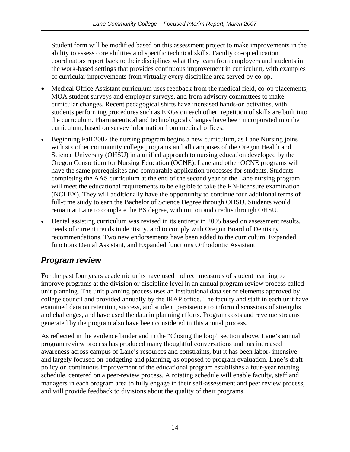<span id="page-18-0"></span>Student form will be modified based on this assessment project to make improvements in the ability to assess core abilities and specific technical skills. Faculty co-op education coordinators report back to their disciplines what they learn from employers and students in the work-based settings that provides continuous improvement in curriculum, with examples of curricular improvements from virtually every discipline area served by co-op.

- Medical Office Assistant curriculum uses feedback from the medical field, co-op placements, MOA student surveys and employer surveys, and from advisory committees to make curricular changes. Recent pedagogical shifts have increased hands-on activities, with students performing procedures such as EKGs on each other; repetition of skills are built into the curriculum. Pharmaceutical and technological changes have been incorporated into the curriculum, based on survey information from medical offices.
- Beginning Fall 2007 the nursing program begins a new curriculum, as Lane Nursing joins with six other community college programs and all campuses of the Oregon Health and Science University (OHSU) in a unified approach to nursing education developed by the Oregon Consortium for Nursing Education (OCNE). Lane and other OCNE programs will have the same prerequisites and comparable application processes for students. Students completing the AAS curriculum at the end of the second year of the Lane nursing program will meet the educational requirements to be eligible to take the RN-licensure examination (NCLEX). They will additionally have the opportunity to continue four additional terms of full-time study to earn the Bachelor of Science Degree through OHSU. Students would remain at Lane to complete the BS degree, with tuition and credits through OHSU.
- Dental assisting curriculum was revised in its entirety in 2005 based on assessment results, needs of current trends in dentistry, and to comply with Oregon Board of Dentistry recommendations. Two new endorsements have been added to the curriculum: Expanded functions Dental Assistant, and Expanded functions Orthodontic Assistant.

# *Program review*

For the past four years academic units have used indirect measures of student learning to improve programs at the division or discipline level in an annual program review process called unit planning. The unit planning process uses an institutional data set of elements approved by college council and provided annually by the IRAP office. The faculty and staff in each unit have examined data on retention, success, and student persistence to inform discussions of strengths and challenges, and have used the data in planning efforts. Program costs and revenue streams generated by the program also have been considered in this annual process.

As reflected in the evidence binder and in the "Closing the loop" section above, Lane's annual program review process has produced many thoughtful conversations and has increased awareness across campus of Lane's resources and constraints, but it has been labor- intensive and largely focused on budgeting and planning, as opposed to program evaluation. Lane's draft policy on continuous improvement of the educational program establishes a four-year rotating schedule, centered on a peer-review process. A rotating schedule will enable faculty, staff and managers in each program area to fully engage in their self-assessment and peer review process, and will provide feedback to divisions about the quality of their programs.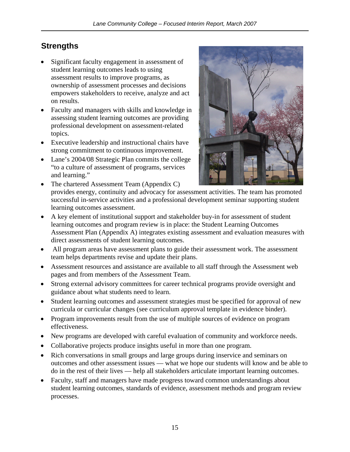# <span id="page-19-0"></span>**Strengths**

- Significant faculty engagement in assessment of student learning outcomes leads to using assessment results to improve programs, as ownership of assessment processes and decisions empowers stakeholders to receive, analyze and act on results.
- Faculty and managers with skills and knowledge in assessing student learning outcomes are providing professional development on assessment-related topics.
- Executive leadership and instructional chairs have strong commitment to continuous improvement.
- Lane's 2004/08 Strategic Plan commits the college "to a culture of assessment of programs, services and learning."



- The chartered Assessment Team (Appendix C) provides energy, continuity and advocacy for assessment activities. The team has promoted successful in-service activities and a professional development seminar supporting student learning outcomes assessment.
- A key element of institutional support and stakeholder buy-in for assessment of student learning outcomes and program review is in place: the Student Learning Outcomes Assessment Plan (Appendix A) integrates existing assessment and evaluation measures with direct assessments of student learning outcomes.
- All program areas have assessment plans to guide their assessment work. The assessment team helps departments revise and update their plans.
- Assessment resources and assistance are available to all staff through the Assessment web pages and from members of the Assessment Team.
- Strong external advisory committees for career technical programs provide oversight and guidance about what students need to learn.
- Student learning outcomes and assessment strategies must be specified for approval of new curricula or curricular changes (see curriculum approval template in evidence binder).
- Program improvements result from the use of multiple sources of evidence on program effectiveness.
- New programs are developed with careful evaluation of community and workforce needs.
- Collaborative projects produce insights useful in more than one program.
- Rich conversations in small groups and large groups during inservice and seminars on outcomes and other assessment issues — what we hope our students will know and be able to do in the rest of their lives — help all stakeholders articulate important learning outcomes.
- Faculty, staff and managers have made progress toward common understandings about student learning outcomes, standards of evidence, assessment methods and program review processes.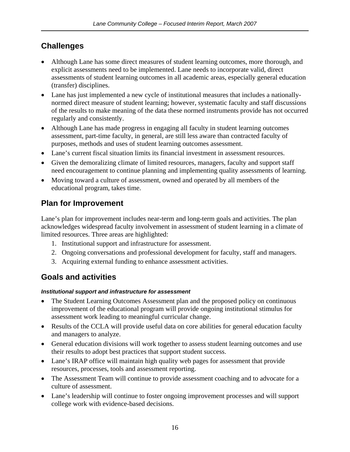# <span id="page-20-0"></span>**Challenges**

- Although Lane has some direct measures of student learning outcomes, more thorough, and explicit assessments need to be implemented. Lane needs to incorporate valid, direct assessments of student learning outcomes in all academic areas, especially general education (transfer) disciplines.
- Lane has just implemented a new cycle of institutional measures that includes a nationallynormed direct measure of student learning; however, systematic faculty and staff discussions of the results to make meaning of the data these normed instruments provide has not occurred regularly and consistently.
- Although Lane has made progress in engaging all faculty in student learning outcomes assessment, part-time faculty, in general, are still less aware than contracted faculty of purposes, methods and uses of student learning outcomes assessment.
- Lane's current fiscal situation limits its financial investment in assessment resources.
- Given the demoralizing climate of limited resources, managers, faculty and support staff need encouragement to continue planning and implementing quality assessments of learning.
- Moving toward a culture of assessment, owned and operated by all members of the educational program, takes time.

# **Plan for Improvement**

Lane's plan for improvement includes near-term and long-term goals and activities. The plan acknowledges widespread faculty involvement in assessment of student learning in a climate of limited resources. Three areas are highlighted:

- 1. Institutional support and infrastructure for assessment.
- 2. Ongoing conversations and professional development for faculty, staff and managers.
- 3. Acquiring external funding to enhance assessment activities.

## **Goals and activities**

### *Institutional support and infrastructure for assessment*

- The Student Learning Outcomes Assessment plan and the proposed policy on continuous improvement of the educational program will provide ongoing institutional stimulus for assessment work leading to meaningful curricular change.
- Results of the CCLA will provide useful data on core abilities for general education faculty and managers to analyze.
- General education divisions will work together to assess student learning outcomes and use their results to adopt best practices that support student success.
- Lane's IRAP office will maintain high quality web pages for assessment that provide resources, processes, tools and assessment reporting.
- The Assessment Team will continue to provide assessment coaching and to advocate for a culture of assessment.
- Lane's leadership will continue to foster ongoing improvement processes and will support college work with evidence-based decisions.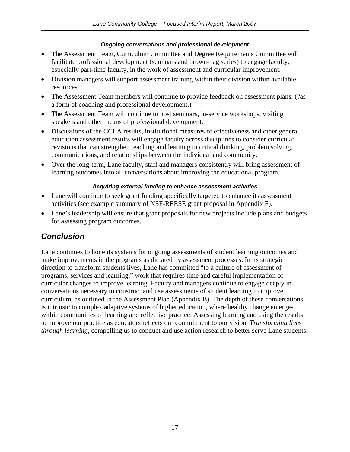### *Ongoing conversations and professional development*

- <span id="page-21-0"></span>• The Assessment Team, Curriculum Committee and Degree Requirements Committee will facilitate professional development (seminars and brown-bag series) to engage faculty, especially part-time faculty, in the work of assessment and curricular improvement.
- Division managers will support assessment training within their division within available resources.
- The Assessment Team members will continue to provide feedback on assessment plans. (?as a form of coaching and professional development.)
- The Assessment Team will continue to host seminars, in-service workshops, visiting speakers and other means of professional development.
- Discussions of the CCLA results, institutional measures of effectiveness and other general education assessment results will engage faculty across disciplines to consider curricular revisions that can strengthen teaching and learning in critical thinking, problem solving, communications, and relationships between the individual and community.
- Over the long-term, Lane faculty, staff and managers consistently will bring assessment of learning outcomes into all conversations about improving the educational program.

#### *Acquiring external funding to enhance assessment activities*

- Lane will continue to seek grant funding specifically targeted to enhance its assessment activities (see example summary of NSF-REESE grant proposal in Appendix F).
- Lane's leadership will ensure that grant proposals for new projects include plans and budgets for assessing program outcomes.

## *Conclusion*

Lane continues to hone its systems for ongoing assessments of student learning outcomes and make improvements in the programs as dictated by assessment processes. In its strategic direction to transform students lives, Lane has committed "to a culture of assessment of programs, services and learning," work that requires time and careful implementation of curricular changes to improve learning. Faculty and managers continue to engage deeply in conversations necessary to construct and use assessments of student learning to improve curriculum, as outlined in the Assessment Plan (Appendix B). The depth of these conversations is intrinsic to complex adaptive systems of higher education, where healthy change emerges within communities of learning and reflective practice. Assessing learning and using the results to improve our practice as educators reflects our commitment to our vision, *Transforming lives through learning*, compelling us to conduct and use action research to better serve Lane students.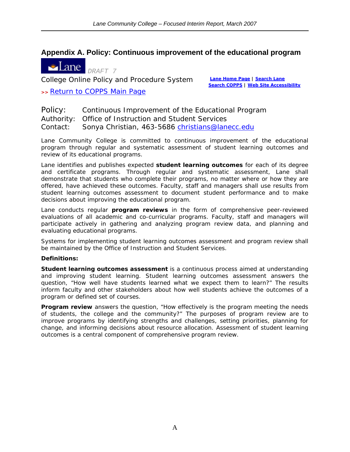### <span id="page-22-0"></span>**[Appendix A. P](http://www.lanecc.edu/)olicy: Continuous improvement of the educational program**



College Online Policy and Procedure System **[Lane Home Page](http://www.lanecc.edu/) | [Search Lane](http://www.lanecc.edu/g-search/search.html)**

**>>** [Return to COPPS Main Page](http://www.lanecc.edu/cops/index.htm)

**[Search COPPS](http://www.lanecc.edu/cops/search.htm) | [Web Site Accessibility](http://www.lanecc.edu/websiteaccess.html)**

Policy: Continuous Improvement of the Educational Program Authority: Office of Instruction and Student Services Contact: Sonya Christian, 463-5686 christians@lanecc.edu

Lane Community College is committed to continuous improvement of the educational program through regular and systematic assessment of student learning outcomes and review of its educational programs.

Lane identifies and publishes expected **student learning outcomes** for each of its degree and certificate programs. Through regular and systematic assessment, Lane shall demonstrate that students who complete their programs, no matter where or how they are offered, have achieved these outcomes. Faculty, staff and managers shall use results from student learning outcomes assessment to document student performance and to make decisions about improving the educational program.

Lane conducts regular **program reviews** in the form of comprehensive peer-reviewed evaluations of all academic and co-curricular programs. Faculty, staff and managers will participate actively in gathering and analyzing program review data, and planning and evaluating educational programs.

Systems for implementing student learning outcomes assessment and program review shall be maintained by the Office of Instruction and Student Services.

#### **Definitions:**

**Student learning outcomes assessment** is a continuous process aimed at understanding and improving student learning. Student learning outcomes assessment answers the question, "How well have students learned what we expect them to learn?" The results inform faculty and other stakeholders about how well students achieve the outcomes of a program or defined set of courses.

**Program review** answers the question, "How effectively is the program meeting the needs of students, the college and the community?" The purposes of program review are to improve programs by identifying strengths and challenges, setting priorities, planning for change, and informing decisions about resource allocation. Assessment of student learning outcomes is a central component of comprehensive program review.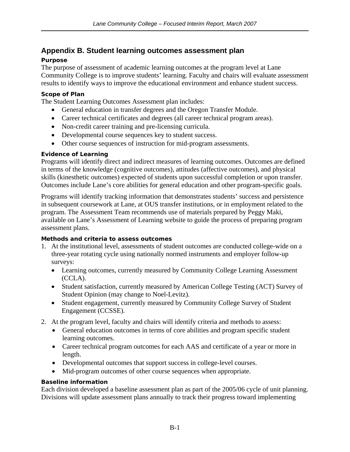### <span id="page-23-0"></span>**Appendix B. Student learning outcomes assessment plan**

### **Purpose**

The purpose of assessment of academic learning outcomes at the program level at Lane Community College is to improve students' learning. Faculty and chairs will evaluate assessment results to identify ways to improve the educational environment and enhance student success.

#### **Scope of Plan**

The Student Learning Outcomes Assessment plan includes:

- General education in transfer degrees and the Oregon Transfer Module.
- Career technical certificates and degrees (all career technical program areas).
- Non-credit career training and pre-licensing curricula.
- Developmental course sequences key to student success.
- Other course sequences of instruction for mid-program assessments.

### **Evidence of Learning**

Programs will identify direct and indirect measures of learning outcomes. Outcomes are defined in terms of the knowledge (cognitive outcomes), attitudes (affective outcomes), and physical skills (kinesthetic outcomes) expected of students upon successful completion or upon transfer. Outcomes include Lane's core abilities for general education and other program-specific goals.

Programs will identify tracking information that demonstrates students' success and persistence in subsequent coursework at Lane, at OUS transfer institutions, or in employment related to the program. The Assessment Team recommends use of materials prepared by Peggy Maki, available on Lane's Assessment of Learning website to guide the process of preparing program assessment plans.

### **Methods and criteria to assess outcomes**

- 1. At the institutional level, assessments of student outcomes are conducted college-wide on a three-year rotating cycle using nationally normed instruments and employer follow-up surveys:
	- Learning outcomes, currently measured by Community College Learning Assessment (CCLA).
	- Student satisfaction, currently measured by American College Testing (ACT) Survey of Student Opinion (may change to Noel-Levitz).
	- Student engagement, currently measured by Community College Survey of Student Engagement (CCSSE).
- 2. At the program level, faculty and chairs will identify criteria and methods to assess:
	- General education outcomes in terms of core abilities and program specific student learning outcomes.
	- Career technical program outcomes for each AAS and certificate of a year or more in length.
	- Developmental outcomes that support success in college-level courses.
	- Mid-program outcomes of other course sequences when appropriate.

### **Baseline information**

Each division developed a baseline assessment plan as part of the 2005/06 cycle of unit planning. Divisions will update assessment plans annually to track their progress toward implementing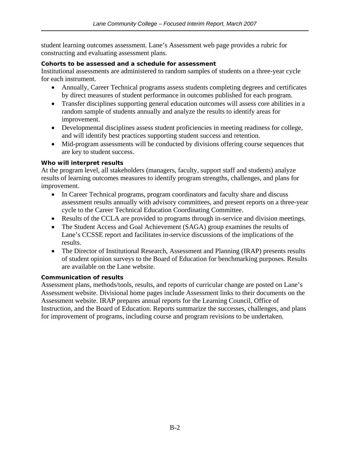student learning outcomes assessment. Lane's Assessment web page provides a rubric for constructing and evaluating assessment plans.

#### **Cohorts to be assessed and a schedule for assessment**

Institutional assessments are administered to random samples of students on a three-year cycle for each instrument.

- Annually, Career Technical programs assess students completing degrees and certificates by direct measures of student performance in outcomes published for each program.
- Transfer disciplines supporting general education outcomes will assess core abilities in a random sample of students annually and analyze the results to identify areas for improvement.
- Developmental disciplines assess student proficiencies in meeting readiness for college, and will identify best practices supporting student success and retention.
- Mid-program assessments will be conducted by divisions offering course sequences that are key to student success.

#### **Who will interpret results**

At the program level, all stakeholders (managers, faculty, support staff and students) analyze results of learning outcomes measures to identify program strengths, challenges, and plans for improvement.

- In Career Technical programs, program coordinators and faculty share and discuss assessment results annually with advisory committees, and present reports on a three-year cycle to the Career Technical Education Coordinating Committee.
- Results of the CCLA are provided to programs through in-service and division meetings.
- The Student Access and Goal Achievement (SAGA) group examines the results of Lane's CCSSE report and facilitates in-service discussions of the implications of the results.
- The Director of Institutional Research, Assessment and Planning (IRAP) presents results of student opinion surveys to the Board of Education for benchmarking purposes. Results are available on the Lane website.

### **Communication of results**

Assessment plans, methods/tools, results, and reports of curricular change are posted on Lane's Assessment website. Divisional home pages include Assessment links to their documents on the Assessment website. IRAP prepares annual reports for the Learning Council, Office of Instruction, and the Board of Education. Reports summarize the successes, challenges, and plans for improvement of programs, including course and program revisions to be undertaken.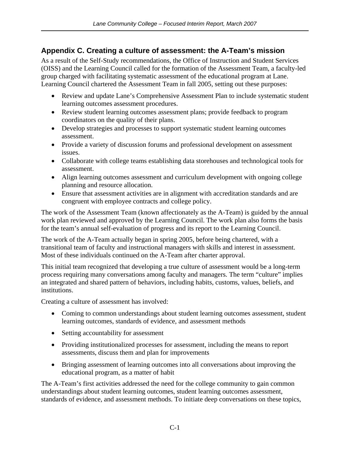### <span id="page-25-0"></span>**Appendix C. Creating a culture of assessment: the A-Team's mission**

As a result of the Self-Study recommendations, the Office of Instruction and Student Services (OISS) and the Learning Council called for the formation of the Assessment Team, a faculty-led group charged with facilitating systematic assessment of the educational program at Lane. Learning Council chartered the Assessment Team in fall 2005, setting out these purposes:

- Review and update Lane's Comprehensive Assessment Plan to include systematic student learning outcomes assessment procedures.
- Review student learning outcomes assessment plans; provide feedback to program coordinators on the quality of their plans.
- Develop strategies and processes to support systematic student learning outcomes assessment.
- Provide a variety of discussion forums and professional development on assessment issues.
- Collaborate with college teams establishing data storehouses and technological tools for assessment.
- Align learning outcomes assessment and curriculum development with ongoing college planning and resource allocation.
- Ensure that assessment activities are in alignment with accreditation standards and are congruent with employee contracts and college policy.

The work of the Assessment Team (known affectionately as the A-Team) is guided by the annual work plan reviewed and approved by the Learning Council. The work plan also forms the basis for the team's annual self-evaluation of progress and its report to the Learning Council.

The work of the A-Team actually began in spring 2005, before being chartered, with a transitional team of faculty and instructional managers with skills and interest in assessment. Most of these individuals continued on the A-Team after charter approval.

This initial team recognized that developing a true culture of assessment would be a long-term process requiring many conversations among faculty and managers. The term "culture" implies an integrated and shared pattern of behaviors, including habits, customs, values, beliefs, and institutions.

Creating a culture of assessment has involved:

- Coming to common understandings about student learning outcomes assessment, student learning outcomes, standards of evidence, and assessment methods
- Setting accountability for assessment
- Providing institutionalized processes for assessment, including the means to report assessments, discuss them and plan for improvements
- Bringing assessment of learning outcomes into all conversations about improving the educational program, as a matter of habit

The A-Team's first activities addressed the need for the college community to gain common understandings about student learning outcomes, student learning outcomes assessment, standards of evidence, and assessment methods. To initiate deep conversations on these topics,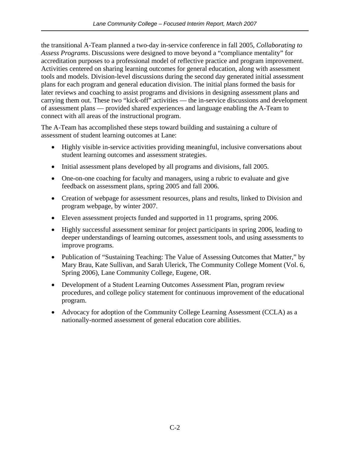the transitional A-Team planned a two-day in-service conference in fall 2005, *Collaborating to Assess Programs*. Discussions were designed to move beyond a "compliance mentality" for accreditation purposes to a professional model of reflective practice and program improvement. Activities centered on sharing learning outcomes for general education, along with assessment tools and models. Division-level discussions during the second day generated initial assessment plans for each program and general education division. The initial plans formed the basis for later reviews and coaching to assist programs and divisions in designing assessment plans and carrying them out. These two "kick-off" activities — the in-service discussions and development of assessment plans — provided shared experiences and language enabling the A-Team to connect with all areas of the instructional program.

The A-Team has accomplished these steps toward building and sustaining a culture of assessment of student learning outcomes at Lane:

- Highly visible in-service activities providing meaningful, inclusive conversations about student learning outcomes and assessment strategies.
- Initial assessment plans developed by all programs and divisions, fall 2005.
- One-on-one coaching for faculty and managers, using a rubric to evaluate and give feedback on assessment plans, spring 2005 and fall 2006.
- Creation of webpage for assessment resources, plans and results, linked to Division and program webpage, by winter 2007.
- Eleven assessment projects funded and supported in 11 programs, spring 2006.
- Highly successful assessment seminar for project participants in spring 2006, leading to deeper understandings of learning outcomes, assessment tools, and using assessments to improve programs.
- Publication of "Sustaining Teaching: The Value of Assessing Outcomes that Matter," by Mary Brau, Kate Sullivan, and Sarah Ulerick, The Community College Moment (Vol. 6, Spring 2006), Lane Community College, Eugene, OR.
- Development of a Student Learning Outcomes Assessment Plan, program review procedures, and college policy statement for continuous improvement of the educational program.
- Advocacy for adoption of the Community College Learning Assessment (CCLA) as a nationally-normed assessment of general education core abilities.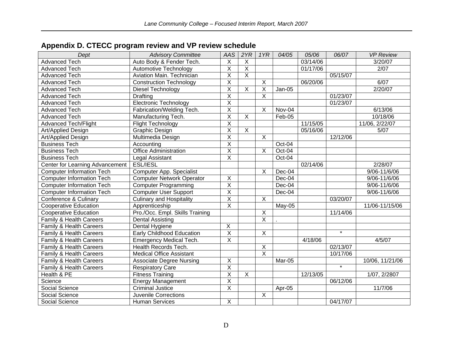<span id="page-27-0"></span>

| Dept                             | <b>Advisory Committee</b>        | <b>AAS</b>                | 2YR                     | 1YR                       | 04/05    | 05/06    | 06/07              | <b>VP Review</b> |
|----------------------------------|----------------------------------|---------------------------|-------------------------|---------------------------|----------|----------|--------------------|------------------|
| <b>Advanced Tech</b>             | Auto Body & Fender Tech.         | $\pmb{\times}$            | Χ                       |                           |          | 03/14/06 |                    | 3/20/07          |
| <b>Advanced Tech</b>             | Automotive Technology            | $\overline{X}$            | $\overline{\mathsf{X}}$ |                           |          | 01/17/06 |                    | 2/07             |
| <b>Advanced Tech</b>             | Aviation Main. Technician        | $\overline{X}$            | $\overline{X}$          |                           |          |          | 05/15/07           |                  |
| <b>Advanced Tech</b>             | <b>Construction Technology</b>   | $\overline{\mathsf{x}}$   |                         | $\pmb{\times}$            |          | 06/20/06 |                    | 6/07             |
| Advanced Tech                    | Diesel Technology                | $\overline{\mathsf{x}}$   | $\pmb{\times}$          | X                         | Jan-05   |          |                    | 2/20/07          |
| <b>Advanced Tech</b>             | <b>Drafting</b>                  | $\overline{\mathsf{x}}$   |                         | X                         |          |          | 01/23/07           |                  |
| <b>Advanced Tech</b>             | Electronic Technology            | $\overline{X}$            |                         |                           |          |          | 01/23/07           |                  |
| <b>Advanced Tech</b>             | Fabrication/Welding Tech.        | $\overline{X}$            |                         | $\times$                  | Nov-04   |          |                    | 6/13/06          |
| <b>Advanced Tech</b>             | Manufacturing Tech.              | $\overline{\mathsf{x}}$   | $\overline{X}$          |                           | Feb-05   |          |                    | 10/18/06         |
| <b>Advanced Tech/Flight</b>      | <b>Flight Technology</b>         | $\overline{\mathsf{x}}$   |                         |                           |          | 11/15/05 |                    | 11/06, 2/22/07   |
| Art/Applied Design               | Graphic Design                   | $\overline{\mathsf{x}}$   | $\overline{X}$          |                           |          | 05/16/06 |                    | 5/07             |
| Art/Applied Design               | Multimedia Design                | $\overline{\mathsf{x}}$   |                         | $\boldsymbol{\mathsf{X}}$ |          |          | 12/12/06           |                  |
| <b>Business Tech</b>             | Accounting                       | $\overline{X}$            |                         |                           | Oct-04   |          |                    |                  |
| <b>Business Tech</b>             | <b>Office Administration</b>     | $\overline{X}$            |                         | $\times$                  | Oct-04   |          |                    |                  |
| <b>Business Tech</b>             | Legal Assistant                  | $\overline{X}$            |                         |                           | Oct-04   |          |                    |                  |
| Center for Learning Advancement  | <b>ESL/IESL</b>                  |                           |                         |                           |          | 02/14/06 |                    | 2/28/07          |
| <b>Computer Information Tech</b> | Computer App. Specialist         |                           |                         | $\sf X$                   | Dec-04   |          |                    | 9/06-11/6/06     |
| <b>Computer Information Tech</b> | <b>Computer Network Operator</b> | $\boldsymbol{\mathsf{X}}$ |                         |                           | Dec-04   |          |                    | 9/06-11/6/06     |
| <b>Computer Information Tech</b> | <b>Computer Programming</b>      | $\overline{X}$            |                         |                           | $Dec-04$ |          |                    | 9/06-11/6/06     |
| <b>Computer Information Tech</b> | <b>Computer User Support</b>     | $\overline{X}$            |                         |                           | Dec-04   |          |                    | 9/06-11/6/06     |
| Conference & Culinary            | <b>Culinary and Hospitality</b>  | $\overline{X}$            |                         | $\overline{X}$            |          |          | 03/20/07           |                  |
| <b>Cooperative Education</b>     | Apprenticeship                   | $\overline{\mathsf{x}}$   |                         |                           | May-05   |          |                    | 11/06-11/15/06   |
| <b>Cooperative Education</b>     | Pro./Occ. Empl. Skills Training  |                           |                         | $\overline{X}$            |          |          | 11/14/06           |                  |
| Family & Health Careers          | <b>Dental Assisting</b>          |                           |                         | $\overline{X}$            |          |          |                    |                  |
| Family & Health Careers          | Dental Hygiene                   | $\overline{X}$            |                         |                           |          |          |                    |                  |
| Family & Health Careers          | <b>Early Childhood Education</b> | $\overline{X}$            |                         | $\overline{X}$            |          |          | $\star$            |                  |
| Family & Health Careers          | <b>Emergency Medical Tech.</b>   | $\overline{X}$            |                         |                           |          | 4/18/06  |                    | 4/5/07           |
| Family & Health Careers          | Health Records Tech.             |                           |                         | $\overline{X}$            |          |          | 02/13/07           |                  |
| Family & Health Careers          | Medical Office Assistant         |                           |                         | $\overline{\mathsf{x}}$   |          |          | 10/17/06           |                  |
| Family & Health Careers          | <b>Associate Degree Nursing</b>  | $\overline{X}$            |                         |                           | Mar-05   |          |                    | 10/06, 11/21/06  |
| Family & Health Careers          | <b>Respiratory Care</b>          | $\overline{\mathsf{x}}$   |                         |                           |          |          | $\overline{\cdot}$ |                  |
| Health & PE                      | <b>Fitness Training</b>          | $\overline{\mathsf{x}}$   | $\overline{X}$          |                           |          | 12/13/05 |                    | 1/07, 2/2807     |
| Science                          | <b>Energy Management</b>         | $\overline{\mathsf{x}}$   |                         |                           |          |          | 06/12/06           |                  |
| Social Science                   | <b>Criminal Justice</b>          | $\overline{\mathsf{x}}$   |                         |                           | Apr-05   |          |                    | 11/7/06          |
| Social Science                   | <b>Juvenile Corrections</b>      |                           |                         | $\overline{\mathsf{x}}$   |          |          |                    |                  |
| Social Science                   | <b>Human Services</b>            | $\overline{X}$            |                         |                           |          |          | 04/17/07           |                  |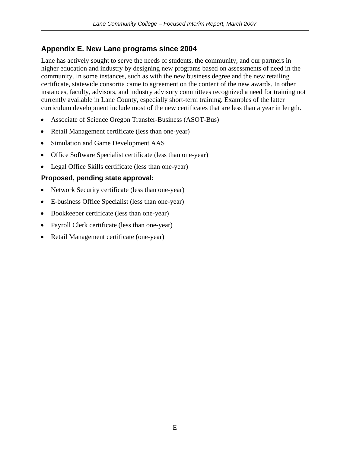### <span id="page-28-0"></span>**Appendix E. New Lane programs since 2004**

Lane has actively sought to serve the needs of students, the community, and our partners in higher education and industry by designing new programs based on assessments of need in the community. In some instances, such as with the new business degree and the new retailing certificate, statewide consortia came to agreement on the content of the new awards. In other instances, faculty, advisors, and industry advisory committees recognized a need for training not currently available in Lane County, especially short-term training. Examples of the latter curriculum development include most of the new certificates that are less than a year in length.

- Associate of Science Oregon Transfer-Business (ASOT-Bus)
- Retail Management certificate (less than one-year)
- Simulation and Game Development AAS
- Office Software Specialist certificate (less than one-year)
- Legal Office Skills certificate (less than one-year)

### **Proposed, pending state approval:**

- Network Security certificate (less than one-year)
- E-business Office Specialist (less than one-year)
- Bookkeeper certificate (less than one-year)
- Payroll Clerk certificate (less than one-year)
- Retail Management certificate (one-year)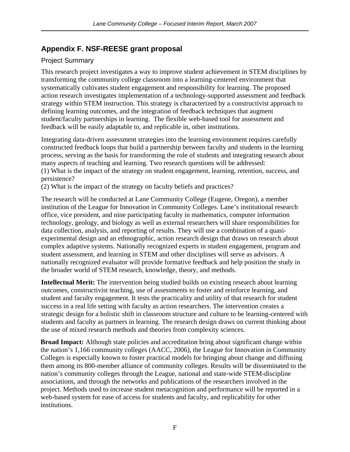# <span id="page-29-0"></span>**Appendix F. NSF-REESE grant proposal**

### Project Summary

This research project investigates a way to improve student achievement in STEM disciplines by transforming the community college classroom into a learning-centered environment that systematically cultivates student engagement and responsibility for learning. The proposed action research investigates implementation of a technology-supported assessment and feedback strategy within STEM instruction. This strategy is characterized by a constructivist approach to defining learning outcomes, and the integration of feedback techniques that augment student/faculty partnerships in learning. The flexible web-based tool for assessment and feedback will be easily adaptable to, and replicable in, other institutions.

Integrating data-driven assessment strategies into the learning environment requires carefully constructed feedback loops that build a partnership between faculty and students in the learning process, serving as the basis for transforming the role of students and integrating research about many aspects of teaching and learning. Two research questions will be addressed: (1) What is the impact of the strategy on student engagement, learning, retention, success, and persistence?

(2) What is the impact of the strategy on faculty beliefs and practices?

The research will be conducted at Lane Community College (Eugene, Oregon), a member institution of the League for Innovation in Community Colleges. Lane's institutional research office, vice president, and nine participating faculty in mathematics, computer information technology, geology, and biology as well as external researchers will share responsibilities for data collection, analysis, and reporting of results. They will use a combination of a quasiexperimental design and an ethnographic, action research design that draws on research about complex adaptive systems. Nationally recognized experts in student engagement, program and student assessment, and learning in STEM and other disciplines will serve as advisors. A nationally recognized evaluator will provide formative feedback and help position the study in the broader world of STEM research, knowledge, theory, and methods.

**Intellectual Merit:** The intervention being studied builds on existing research about learning outcomes, constructivist teaching, use of assessments to foster and reinforce learning, and student and faculty engagement. It tests the practicality and utility of that research for student success in a real life setting with faculty as action researchers. The intervention creates a strategic design for a holistic shift in classroom structure and culture to be learning-centered with students and faculty as partners in learning. The research design draws on current thinking about the use of mixed research methods and theories from complexity sciences.

**Broad Impact:** Although state policies and accreditation bring about significant change within the nation's 1,166 community colleges (AACC, 2006), the League for Innovation in Community Colleges is especially known to foster practical models for bringing about change and diffusing them among its 800-member alliance of community colleges. Results will be disseminated to the nation's community colleges through the League, national and state-wide STEM-discipline associations, and through the networks and publications of the researchers involved in the project. Methods used to increase student metacognition and performance will be reported in a web-based system for ease of access for students and faculty, and replicability for other institutions.